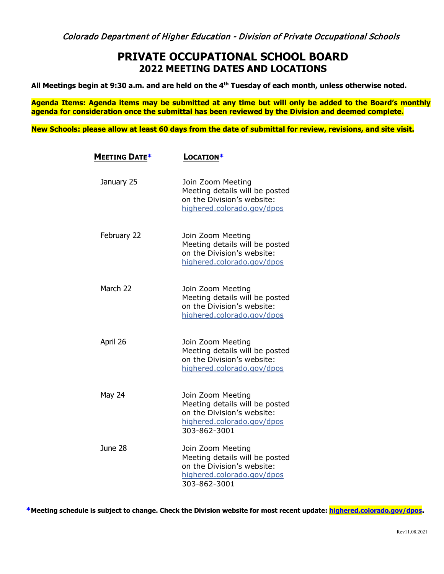## **PRIVATE OCCUPATIONAL SCHOOL BOARD 2022 MEETING DATES AND LOCATIONS**

**All Meetings begin at 9:30 a.m. and are held on the 4th Tuesday of each month, unless otherwise noted.**

**Agenda Items: Agenda items may be submitted at any time but will only be added to the Board's monthly agenda for consideration once the submittal has been reviewed by the Division and deemed complete.**

**New Schools: please allow at least 60 days from the date of submittal for review, revisions, and site visit.**

| Meeting Date* | LOCATION*                                                                                                                       |
|---------------|---------------------------------------------------------------------------------------------------------------------------------|
| January 25    | Join Zoom Meeting<br>Meeting details will be posted<br>on the Division's website:<br>highered.colorado.gov/dpos                 |
| February 22   | Join Zoom Meeting<br>Meeting details will be posted<br>on the Division's website:<br>highered.colorado.gov/dpos                 |
| March 22      | Join Zoom Meeting<br>Meeting details will be posted<br>on the Division's website:<br>highered.colorado.gov/dpos                 |
| April 26      | Join Zoom Meeting<br>Meeting details will be posted<br>on the Division's website:<br>highered.colorado.gov/dpos                 |
| <b>May 24</b> | Join Zoom Meeting<br>Meeting details will be posted<br>on the Division's website:<br>highered.colorado.gov/dpos<br>303-862-3001 |
| June 28       | Join Zoom Meeting<br>Meeting details will be posted<br>on the Division's website:<br>highered.colorado.gov/dpos<br>303-862-3001 |

**\*Meeting schedule is subject to change. Check the Division website for most recent update: [highered.colorado.gov/dpos.](http://www.state.co.us/dpos)**